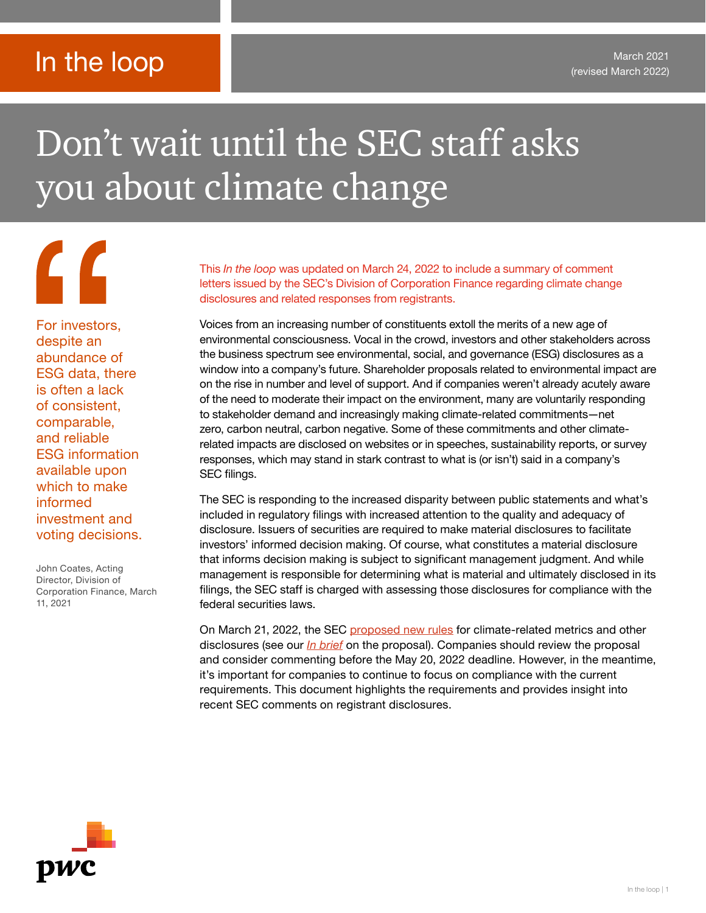### In the loop

## Don't wait until the SEC staff asks you about climate change

 $\mathcal{L}$ For investors, despite an abundance of ESG data, there is often a lack of consistent, comparable, and reliable ESG information available upon which to make informed investment and voting decisions.

John Coates, Acting Director, Division of Corporation Finance, March 11, 2021

This *In the loop* was updated on March 24, 2022 to include a summary of comment letters issued by the SEC's Division of Corporation Finance regarding climate change disclosures and related responses from registrants.

Voices from an increasing number of constituents extoll the merits of a new age of environmental consciousness. Vocal in the crowd, investors and other stakeholders across the business spectrum see environmental, social, and governance (ESG) disclosures as a window into a company's future. Shareholder proposals related to environmental impact are on the rise in number and level of support. And if companies weren't already acutely aware of the need to moderate their impact on the environment, many are voluntarily responding to stakeholder demand and increasingly making climate-related commitments—net zero, carbon neutral, carbon negative. Some of these commitments and other climaterelated impacts are disclosed on websites or in speeches, sustainability reports, or survey responses, which may stand in stark contrast to what is (or isn't) said in a company's SEC filings.

The SEC is responding to the increased disparity between public statements and what's included in regulatory filings with increased attention to the quality and adequacy of disclosure. Issuers of securities are required to make material disclosures to facilitate investors' informed decision making. Of course, what constitutes a material disclosure that informs decision making is subject to significant management judgment. And while management is responsible for determining what is material and ultimately disclosed in its filings, the SEC staff is charged with assessing those disclosures for compliance with the federal securities laws.

On March 21, 2022, the SEC [proposed new rules](https://www.sec.gov/news/press-release/2022-46) for climate-related metrics and other disclosures (see our *[In brief](https://viewpoint.pwc.com/dt/us/en/pwc/in_briefs/2022/2022/firstlookatthesecsclimatedisc.html)* on the proposal). Companies should review the proposal and consider commenting before the May 20, 2022 deadline. However, in the meantime, it's important for companies to continue to focus on compliance with the current requirements. This document highlights the requirements and provides insight into recent SEC comments on registrant disclosures.

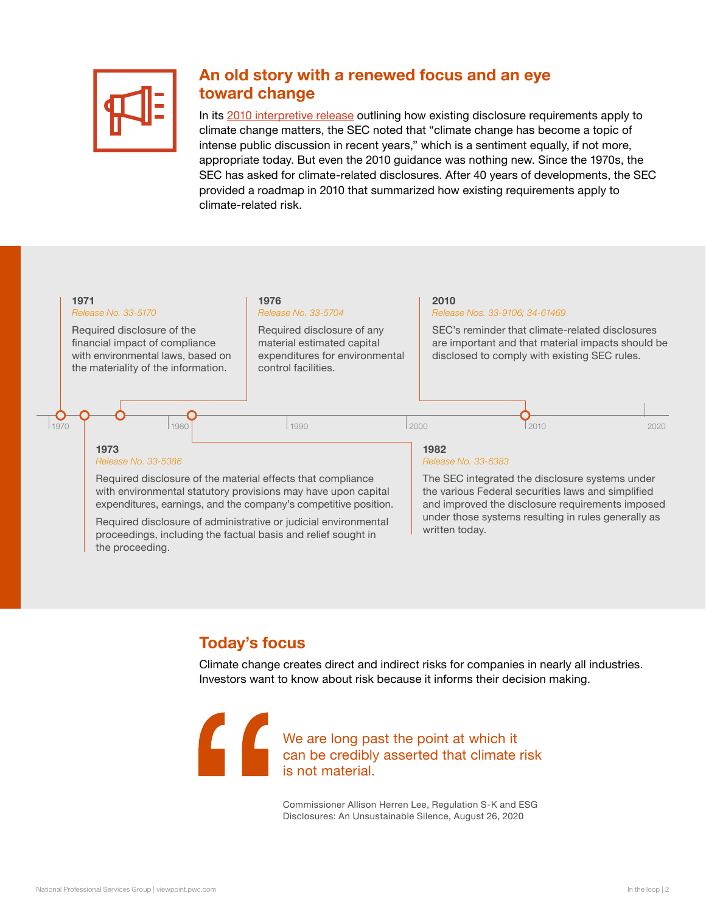

#### An old story with a renewed focus and an eye toward change

In its 2[010 interpretive release](https://www.sec.gov/rules/interp/2010/33-9106.pdf) outlining how existing disclosure requirements apply to climate change matters, the SEC noted that "climate change has become a topic of intense public discussion in recent years," which is a sentiment equally, if not more, appropriate today. But even the 2010 guidance was nothing new. Since the 1970s, the SEC has asked for climate-related disclosures. After 40 years of developments, the SEC provided a roadmap in 2010 that summarized how existing requirements apply to climate-related risk.



#### Today's focus

Climate change creates direct and indirect risks for companies in nearly all industries. Investors want to know about risk because it informs their decision making.

We are long past the point at which it can be credibly asserted that climate risk is not material.

> Commissioner Allison Herren Lee, Regulation S-K and ESG Disclosures: An Unsustainable Silence, August 26, 2020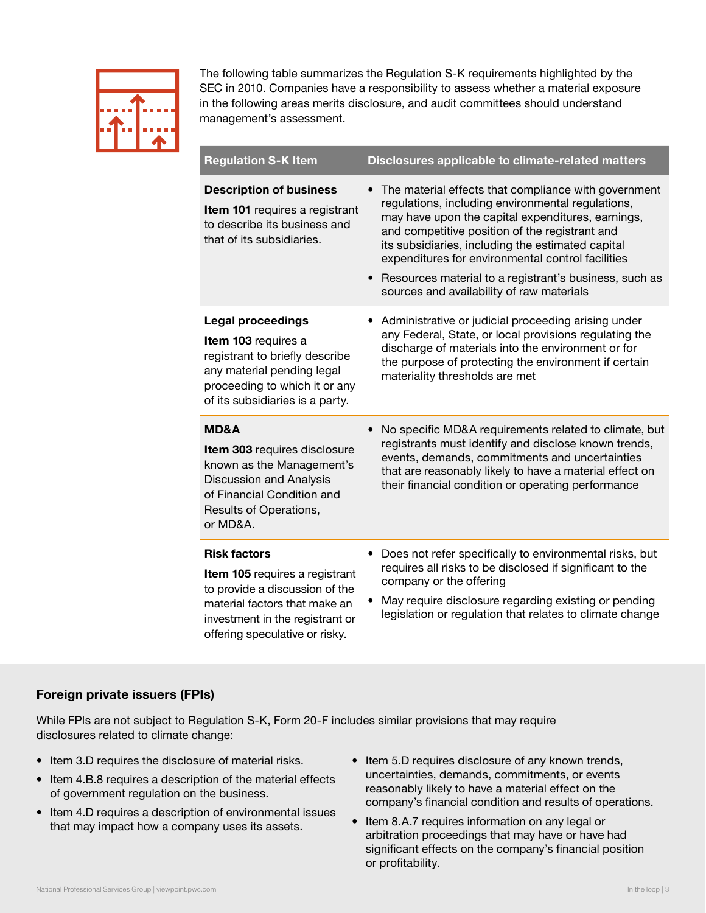| ٦<br>Ξ | <b>III</b><br><b>THE R</b> | ۳<br>a mata<br>г      |
|--------|----------------------------|-----------------------|
|        |                            | <b>TIME</b><br>п<br>۳ |
|        | Ξ                          |                       |
|        |                            |                       |

The following table summarizes the Regulation S-K requirements highlighted by the SEC in 2010. Companies have a responsibility to assess whether a material exposure in the following areas merits disclosure, and audit committees should understand management's assessment.

| <b>Regulation S-K Item</b>                                                                                                                                                                    | Disclosures applicable to climate-related matters                                                                                                                                                                                                                                                                                                                                                                                 |
|-----------------------------------------------------------------------------------------------------------------------------------------------------------------------------------------------|-----------------------------------------------------------------------------------------------------------------------------------------------------------------------------------------------------------------------------------------------------------------------------------------------------------------------------------------------------------------------------------------------------------------------------------|
| <b>Description of business</b><br>Item 101 requires a registrant<br>to describe its business and<br>that of its subsidiaries.                                                                 | The material effects that compliance with government<br>regulations, including environmental regulations,<br>may have upon the capital expenditures, earnings,<br>and competitive position of the registrant and<br>its subsidiaries, including the estimated capital<br>expenditures for environmental control facilities<br>Resources material to a registrant's business, such as<br>sources and availability of raw materials |
| <b>Legal proceedings</b><br>Item 103 requires a<br>registrant to briefly describe<br>any material pending legal<br>proceeding to which it or any<br>of its subsidiaries is a party.           | Administrative or judicial proceeding arising under<br>any Federal, State, or local provisions regulating the<br>discharge of materials into the environment or for<br>the purpose of protecting the environment if certain<br>materiality thresholds are met                                                                                                                                                                     |
| <b>MD&amp;A</b><br>Item 303 requires disclosure<br>known as the Management's<br><b>Discussion and Analysis</b><br>of Financial Condition and<br>Results of Operations,<br>or MD&A.            | No specific MD&A requirements related to climate, but<br>registrants must identify and disclose known trends,<br>events, demands, commitments and uncertainties<br>that are reasonably likely to have a material effect on<br>their financial condition or operating performance                                                                                                                                                  |
| <b>Risk factors</b><br>Item 105 requires a registrant<br>to provide a discussion of the<br>material factors that make an<br>investment in the registrant or<br>offering speculative or risky. | Does not refer specifically to environmental risks, but<br>requires all risks to be disclosed if significant to the<br>company or the offering<br>May require disclosure regarding existing or pending<br>legislation or regulation that relates to climate change                                                                                                                                                                |

#### Foreign private issuers (FPIs)

While FPIs are not subject to Regulation S-K, Form 20-F includes similar provisions that may require disclosures related to climate change:

- Item 3.D requires the disclosure of material risks.
- Item 4.B.8 requires a description of the material effects of government regulation on the business.
- Item 4.D requires a description of environmental issues that may impact how a company uses its assets.
- Item 5.D requires disclosure of any known trends, uncertainties, demands, commitments, or events reasonably likely to have a material effect on the company's financial condition and results of operations.
- Item 8.A.7 requires information on any legal or arbitration proceedings that may have or have had significant effects on the company's financial position or profitability.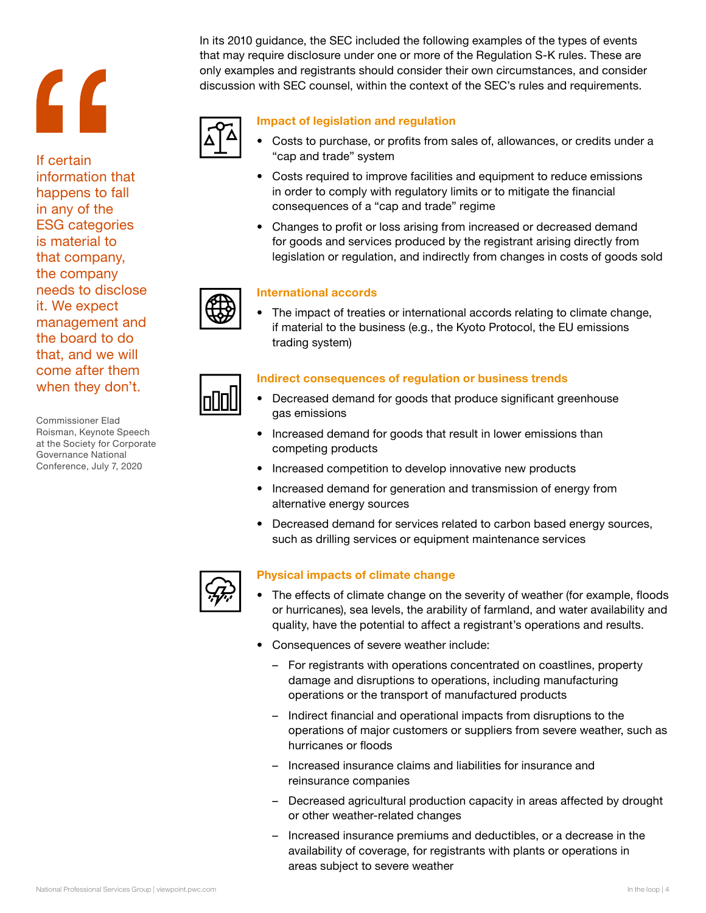# **"**

If certain information that happens to fall in any of the ESG categories is material to that company, the company needs to disclose it. We expect management and the board to do that, and we will come after them when they don't.

Commissioner Elad Roisman, Keynote Speech at the Society for Corporate Governance National Conference, July 7, 2020



In its 2010 guidance, the SEC included the following examples of the types of events that may require disclosure under one or more of the Regulation S-K rules. These are only examples and registrants should consider their own circumstances, and consider discussion with SEC counsel, within the context of the SEC's rules and requirements.



#### Impact of legislation and regulation

- Costs to purchase, or profits from sales of, allowances, or credits under a "cap and trade" system
- Costs required to improve facilities and equipment to reduce emissions in order to comply with regulatory limits or to mitigate the financial consequences of a "cap and trade" regime
- Changes to profit or loss arising from increased or decreased demand for goods and services produced by the registrant arising directly from legislation or regulation, and indirectly from changes in costs of goods sold

#### International accords

• The impact of treaties or international accords relating to climate change, if material to the business (e.g., the Kyoto Protocol, the EU emissions trading system)

#### Indirect consequences of regulation or business trends

- Decreased demand for goods that produce significant greenhouse gas emissions
- Increased demand for goods that result in lower emissions than competing products
- Increased competition to develop innovative new products
- Increased demand for generation and transmission of energy from alternative energy sources
- Decreased demand for services related to carbon based energy sources, such as drilling services or equipment maintenance services

#### Physical impacts of climate change

- The effects of climate change on the severity of weather (for example, floods or hurricanes), sea levels, the arability of farmland, and water availability and quality, have the potential to affect a registrant's operations and results.
- Consequences of severe weather include:
	- For registrants with operations concentrated on coastlines, property damage and disruptions to operations, including manufacturing operations or the transport of manufactured products
	- Indirect financial and operational impacts from disruptions to the operations of major customers or suppliers from severe weather, such as hurricanes or floods
	- Increased insurance claims and liabilities for insurance and reinsurance companies
	- Decreased agricultural production capacity in areas affected by drought or other weather-related changes
	- Increased insurance premiums and deductibles, or a decrease in the availability of coverage, for registrants with plants or operations in areas subject to severe weather

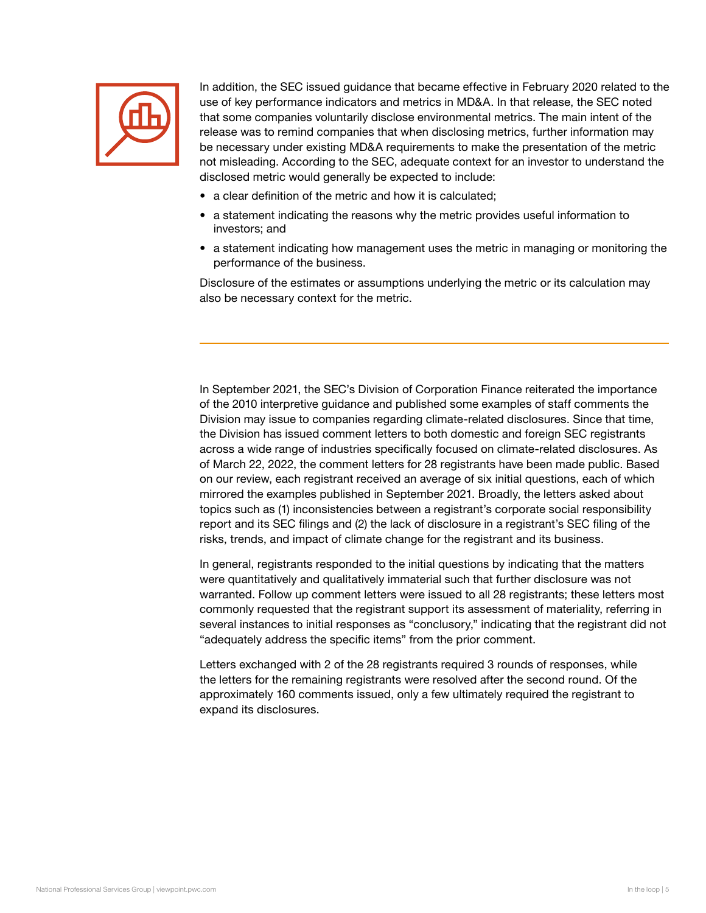

In addition, the SEC issued guidance that became effective in February 2020 related to the use of key performance indicators and metrics in MD&A. In that release, the SEC noted that some companies voluntarily disclose environmental metrics. The main intent of the release was to remind companies that when disclosing metrics, further information may be necessary under existing MD&A requirements to make the presentation of the metric not misleading. According to the SEC, adequate context for an investor to understand the disclosed metric would generally be expected to include:

- a clear definition of the metric and how it is calculated;
- a statement indicating the reasons why the metric provides useful information to investors; and
- a statement indicating how management uses the metric in managing or monitoring the performance of the business.

Disclosure of the estimates or assumptions underlying the metric or its calculation may also be necessary context for the metric.

In September 2021, the SEC's Division of Corporation Finance reiterated the importance of the 2010 interpretive guidance and published some examples of staff comments the Division may issue to companies regarding climate-related disclosures. Since that time, the Division has issued comment letters to both domestic and foreign SEC registrants across a wide range of industries specifically focused on climate-related disclosures. As of March 22, 2022, the comment letters for 28 registrants have been made public. Based on our review, each registrant received an average of six initial questions, each of which mirrored the examples published in September 2021. Broadly, the letters asked about topics such as (1) inconsistencies between a registrant's corporate social responsibility report and its SEC filings and (2) the lack of disclosure in a registrant's SEC filing of the risks, trends, and impact of climate change for the registrant and its business.

In general, registrants responded to the initial questions by indicating that the matters were quantitatively and qualitatively immaterial such that further disclosure was not warranted. Follow up comment letters were issued to all 28 registrants; these letters most commonly requested that the registrant support its assessment of materiality, referring in several instances to initial responses as "conclusory," indicating that the registrant did not "adequately address the specific items" from the prior comment.

Letters exchanged with 2 of the 28 registrants required 3 rounds of responses, while the letters for the remaining registrants were resolved after the second round. Of the approximately 160 comments issued, only a few ultimately required the registrant to expand its disclosures.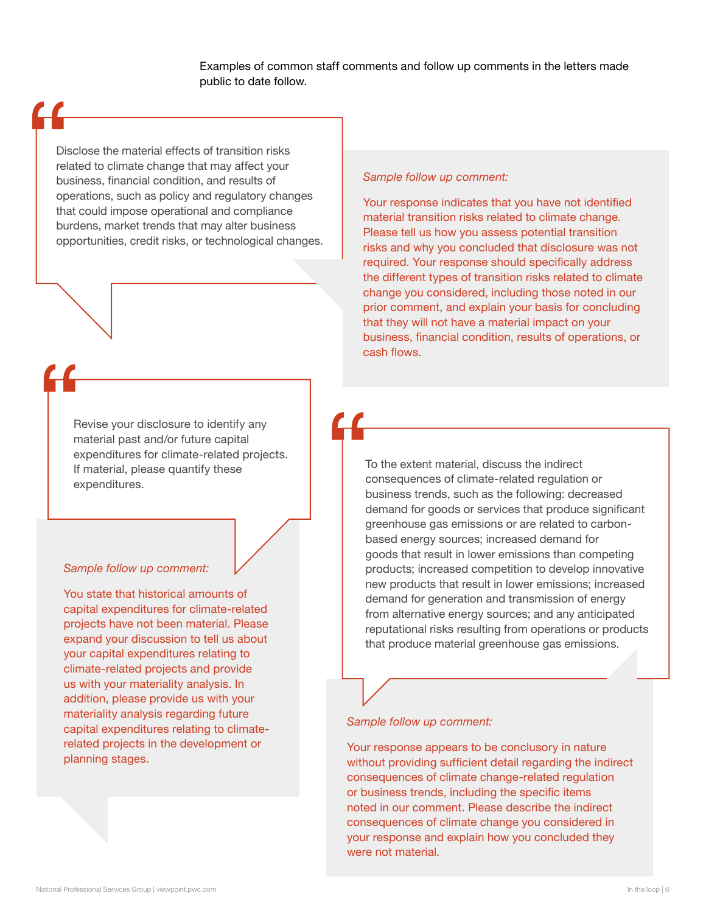Examples of common staff comments and follow up comments in the letters made public to date follow.

Disclose the material effects of transition risks related to climate change that may affect your business, financial condition, and results of operations, such as policy and regulatory changes that could impose operational and compliance burdens, market trends that may alter business opportunities, credit risks, or technological changes.

Revise your disclosure to identify any material past and/or future capital expenditures for climate-related projects. If material, please quantify these expenditures.

#### *Sample follow up comment:*

You state that historical amounts of capital expenditures for climate-related projects have not been material. Please expand your discussion to tell us about your capital expenditures relating to climate-related projects and provide us with your materiality analysis. In addition, please provide us with your materiality analysis regarding future capital expenditures relating to climaterelated projects in the development or planning stages.

#### *Sample follow up comment:*

Your response indicates that you have not identified material transition risks related to climate change. Please tell us how you assess potential transition risks and why you concluded that disclosure was not required. Your response should specifically address the different types of transition risks related to climate change you considered, including those noted in our prior comment, and explain your basis for concluding that they will not have a material impact on your business, financial condition, results of operations, or cash flows.

To the extent material, discuss the indirect consequences of climate-related regulation or business trends, such as the following: decreased demand for goods or services that produce significant greenhouse gas emissions or are related to carbonbased energy sources; increased demand for goods that result in lower emissions than competing products; increased competition to develop innovative new products that result in lower emissions; increased demand for generation and transmission of energy from alternative energy sources; and any anticipated reputational risks resulting from operations or products that produce material greenhouse gas emissions.

#### *Sample follow up comment:*

Your response appears to be conclusory in nature without providing sufficient detail regarding the indirect consequences of climate change-related regulation or business trends, including the specific items noted in our comment. Please describe the indirect consequences of climate change you considered in your response and explain how you concluded they were not material.